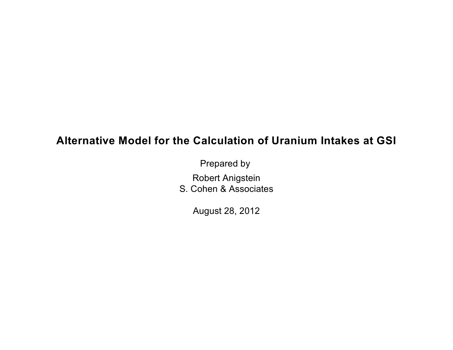# **Alternative Model for the Calculation of Uranium Intakes at GSI**

Prepared by

Robert Anigstein

S. Cohen & Associates

August 28, 2012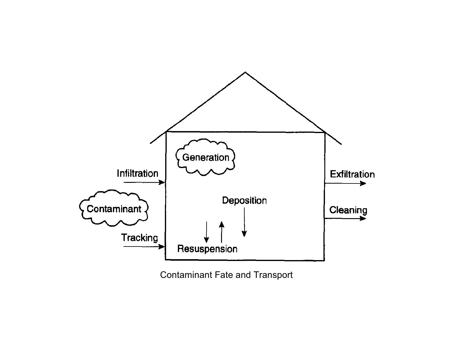

Contaminant Fate and Transport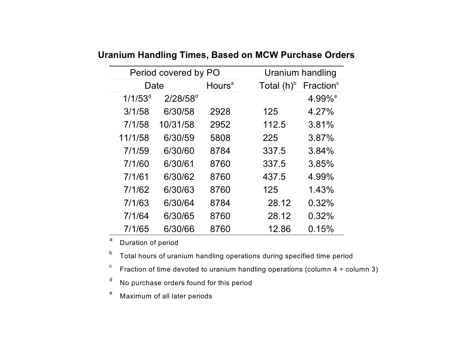| Period covered by PO |               |                           |                          | Uranium handling      |  |  |
|----------------------|---------------|---------------------------|--------------------------|-----------------------|--|--|
| Date                 |               | <b>Hours</b> <sup>a</sup> | Total $(h)$ <sup>b</sup> | Fraction <sup>c</sup> |  |  |
| $1/1/53^{d}$         | $2/28/58^{d}$ |                           |                          | 4.99% <sup>e</sup>    |  |  |
| 3/1/58               | 6/30/58       | 2928                      | 125                      | 4.27%                 |  |  |
| 7/1/58               | 10/31/58      | 2952                      | 112.5                    | 3.81%                 |  |  |
| 11/1/58              | 6/30/59       | 5808                      | 225                      | 3.87%                 |  |  |
| 7/1/59               | 6/30/60       | 8784                      | 337.5                    | 3.84%                 |  |  |
| 7/1/60               | 6/30/61       | 8760                      | 337.5                    | 3.85%                 |  |  |
| 7/1/61               | 6/30/62       | 8760                      | 437.5                    | 4.99%                 |  |  |
| 7/1/62               | 6/30/63       | 8760                      | 125                      | 1.43%                 |  |  |
| 7/1/63               | 6/30/64       | 8784                      | 28.12                    | 0.32%                 |  |  |
| 7/1/64               | 6/30/65       | 8760                      | 28.12                    | 0.32%                 |  |  |
| 7/1/65               | 6/30/66       | 8760                      | 12.86                    | 0.15%                 |  |  |

**Uranium Handling Times, Based on MCW Purchase Orders** 

a Duration of period

 $^{\text{b}}$  Total hours of uranium handling operations during specified time period

Fraction of time devoted to uranium handling operations (column  $4 \div$  column 3) c

<sup>d</sup> No purchase orders found for this period

<sup>e</sup> Maximum of all later periods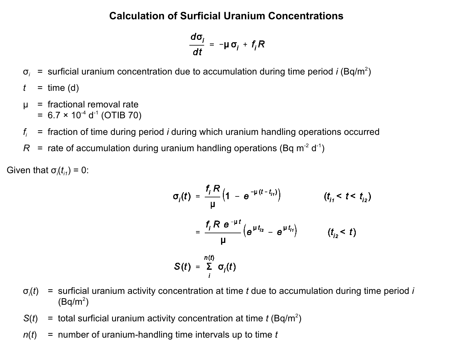# **Calculation of Surficial Uranium Concentrations**

$$
\frac{d\sigma_i}{dt} = -\mu \sigma_i + f_i R
$$

- $\sigma_i$  = surficial uranium concentration due to accumulation during time period *i* (Bq/m<sup>2</sup>)
- $t =$  time (d)
- µ = fractional removal rate  $= 6.7 \times 10^{-4} \text{ d}^{-1}$  (OTIB 70)
- *fi* = fraction of time during period *i* during which uranium handling operations occurred
- $R$  = rate of accumulation during uranium handling operations (Bq m<sup>-2</sup> d<sup>-1</sup>)

Given that  $\sigma_i(t_{i1}) = 0$ :

$$
\sigma_{i}(t) = \frac{f_{i} R}{\mu} \left( 1 - e^{-\mu (t - t_{i1})} \right) \qquad (t_{i1} < t < t_{i2})
$$
\n
$$
= \frac{f_{i} R e^{-\mu t}}{\mu} \left( e^{\mu t_{i2}} - e^{\mu t_{i1}} \right) \qquad (t_{i2} < t)
$$
\n
$$
S(t) = \sum_{i}^{n(t)} \sigma_{i}(t)
$$

- $\sigma_i(t)$ (*t*) = surficial uranium activity concentration at time *t* due to accumulation during time period *i*   $(Bq/m^2)$
- $S(t)$  = total surficial uranium activity concentration at time *t* (Bq/m<sup>2</sup>)
- *n*(*t*) = number of uranium-handling time intervals up to time *t*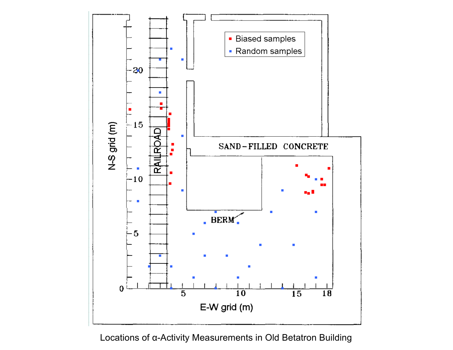

# Locations of  $\alpha$ -Activity Measurements in Old Betatron Building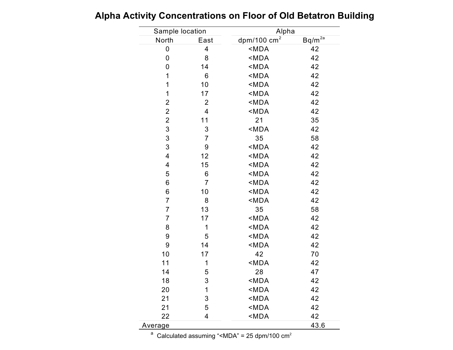| Sample location           |                         | Alpha                          |             |
|---------------------------|-------------------------|--------------------------------|-------------|
| North                     | East                    | $dpm/100$ cm <sup>2</sup>      | $Bq/m^{2a}$ |
| 0                         | $\overline{\mathbf{4}}$ | $MDA$                          | 42          |
| 0                         | 8                       | <mda< td=""><td>42</td></mda<> | 42          |
| 0                         | 14                      | <mda< td=""><td>42</td></mda<> | 42          |
| 1                         | 6                       | <mda< td=""><td>42</td></mda<> | 42          |
| 1                         | 10                      | <mda< td=""><td>42</td></mda<> | 42          |
| 1                         | 17                      | <mda< td=""><td>42</td></mda<> | 42          |
| $\overline{2}$            | $\overline{2}$          | <mda< td=""><td>42</td></mda<> | 42          |
| $\overline{\mathbf{c}}$   | 4                       | <mda< td=""><td>42</td></mda<> | 42          |
| $\overline{2}$            | 11                      | 21                             | 35          |
| $\ensuremath{\mathsf{3}}$ | 3                       | <mda< td=""><td>42</td></mda<> | 42          |
| $\ensuremath{\mathsf{3}}$ | $\overline{7}$          | 35                             | 58          |
| 3                         | 9                       | <mda< td=""><td>42</td></mda<> | 42          |
| $\overline{4}$            | 12                      | <mda< td=""><td>42</td></mda<> | 42          |
| $\overline{\mathbf{4}}$   | 15                      | $MDA$                          | 42          |
| 5                         | 6                       | <mda< td=""><td>42</td></mda<> | 42          |
| 6                         | $\overline{7}$          | <mda< td=""><td>42</td></mda<> | 42          |
| 6                         | 10                      | <mda< td=""><td>42</td></mda<> | 42          |
| $\overline{7}$            | 8                       | <mda< td=""><td>42</td></mda<> | 42          |
| $\overline{7}$            | 13                      | 35                             | 58          |
| $\overline{7}$            | 17                      | <mda< td=""><td>42</td></mda<> | 42          |
| 8                         | 1                       | $MDA$                          | 42          |
| 9                         | 5                       | <mda< td=""><td>42</td></mda<> | 42          |
| 9                         | 14                      | <mda< td=""><td>42</td></mda<> | 42          |
| 10                        | 17                      | 42                             | 70          |
| 11                        | 1                       | <mda< td=""><td>42</td></mda<> | 42          |
| 14                        | 5                       | 28                             | 47          |
| 18                        | 3                       | <mda< td=""><td>42</td></mda<> | 42          |
| 20                        | 1                       | <mda< td=""><td>42</td></mda<> | 42          |
| 21                        | 3                       | <mda< td=""><td>42</td></mda<> | 42          |
| 21                        | 5                       | <mda< td=""><td>42</td></mda<> | 42          |
| 22                        | 4                       | <mda< td=""><td>42</td></mda<> | 42          |
| Average                   |                         |                                | 43.6        |

**Alpha Activity Concentrations on Floor of Old Betatron Building** 

<sup>a</sup> Calculated assuming "<MDA" = 25 dpm/100  $\text{cm}^2$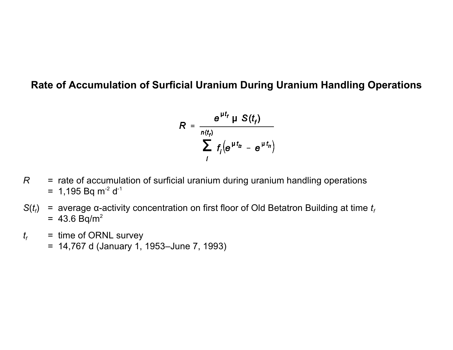### **Rate of Accumulation of Surficial Uranium During Uranium Handling Operations**

$$
R = \frac{e^{\mu t_f} \mu S(t_f)}{\sum_{i} r_i (e^{\mu t_{i2}} - e^{\mu t_{i1}})}
$$

- R  $=$  rate of accumulation of surficial uranium during uranium handling operations  $= 1,195$  Bq m<sup>-2</sup> d<sup>-1</sup>
- $S(t_i)$  $= 43.6 Bq/m^2$  $f$  = average  $\alpha$ -activity concentration on first floor of Old Betatron Building at time  $t_f$
- $t_f$  = time of ORNL survey
	- = 14,767 d (January 1, 1953–June 7, 1993)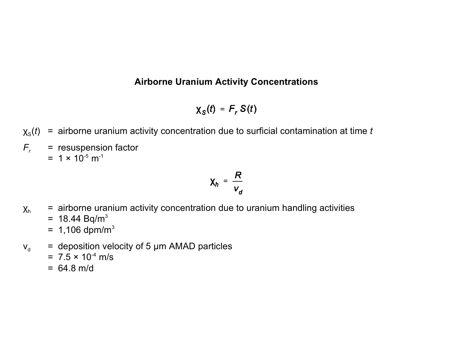#### **Airborne Uranium Activity Concentrations**

 $\chi_{\rm S}(t) = F_r S(t)$ 

- $\chi_{\rm s}(t)$  = airborne uranium activity concentration due to surficial contamination at time *t*
- $F_r$  = resuspension factor  $= 1 \times 10^{-5}$  m<sup>-1</sup>

$$
\chi_h = \frac{R}{V_a}
$$

- $x<sub>h</sub>$  = airborne uranium activity concentration due to uranium handling activities
	- $= 18.44 Bq/m<sup>3</sup>$
	- $= 1,106$  dpm/m<sup>3</sup>
- $v_{d}$  = deposition velocity of 5 µm AMAD particles
	- $= 7.5 \times 10^{-4}$  m/s
	- $= 64.8$  m/d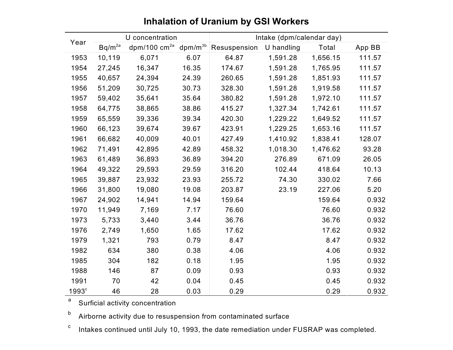|                   | U concentration |                | Intake (dpm/calendar day) |              |            |          |        |
|-------------------|-----------------|----------------|---------------------------|--------------|------------|----------|--------|
| Year              | $Bq/m^{2a}$     | dpm/100 $cm2a$ | $dpm/m^{3b}$              | Resuspension | U handling | Total    | App BB |
| 1953              | 10,119          | 6,071          | 6.07                      | 64.87        | 1,591.28   | 1,656.15 | 111.57 |
| 1954              | 27,245          | 16,347         | 16.35                     | 174.67       | 1,591.28   | 1,765.95 | 111.57 |
| 1955              | 40,657          | 24,394         | 24.39                     | 260.65       | 1,591.28   | 1,851.93 | 111.57 |
| 1956              | 51,209          | 30,725         | 30.73                     | 328.30       | 1,591.28   | 1,919.58 | 111.57 |
| 1957              | 59,402          | 35,641         | 35.64                     | 380.82       | 1,591.28   | 1,972.10 | 111.57 |
| 1958              | 64,775          | 38,865         | 38.86                     | 415.27       | 1,327.34   | 1,742.61 | 111.57 |
| 1959              | 65,559          | 39,336         | 39.34                     | 420.30       | 1,229.22   | 1,649.52 | 111.57 |
| 1960              | 66,123          | 39,674         | 39.67                     | 423.91       | 1,229.25   | 1,653.16 | 111.57 |
| 1961              | 66,682          | 40,009         | 40.01                     | 427.49       | 1,410.92   | 1,838.41 | 128.07 |
| 1962              | 71,491          | 42,895         | 42.89                     | 458.32       | 1,018.30   | 1,476.62 | 93.28  |
| 1963              | 61,489          | 36,893         | 36.89                     | 394.20       | 276.89     | 671.09   | 26.05  |
| 1964              | 49,322          | 29,593         | 29.59                     | 316.20       | 102.44     | 418.64   | 10.13  |
| 1965              | 39,887          | 23,932         | 23.93                     | 255.72       | 74.30      | 330.02   | 7.66   |
| 1966              | 31,800          | 19,080         | 19.08                     | 203.87       | 23.19      | 227.06   | 5.20   |
| 1967              | 24,902          | 14,941         | 14.94                     | 159.64       |            | 159.64   | 0.932  |
| 1970              | 11,949          | 7,169          | 7.17                      | 76.60        |            | 76.60    | 0.932  |
| 1973              | 5,733           | 3,440          | 3.44                      | 36.76        |            | 36.76    | 0.932  |
| 1976              | 2,749           | 1,650          | 1.65                      | 17.62        |            | 17.62    | 0.932  |
| 1979              | 1,321           | 793            | 0.79                      | 8.47         |            | 8.47     | 0.932  |
| 1982              | 634             | 380            | 0.38                      | 4.06         |            | 4.06     | 0.932  |
| 1985              | 304             | 182            | 0.18                      | 1.95         |            | 1.95     | 0.932  |
| 1988              | 146             | 87             | 0.09                      | 0.93         |            | 0.93     | 0.932  |
| 1991              | 70              | 42             | 0.04                      | 0.45         |            | 0.45     | 0.932  |
| 1993 <sup>c</sup> | 46              | 28             | 0.03                      | 0.29         |            | 0.29     | 0.932  |

### **Inhalation of Uranium by GSI Workers**

<sup>a</sup> Surficial activity concentration

 $^{\rm b}$  Airborne activity due to resuspension from contaminated surface

 $^{\rm c}$   $\,$  Intakes continued until July 10, 1993, the date remediation under <code>FUSRAP</code> was completed.